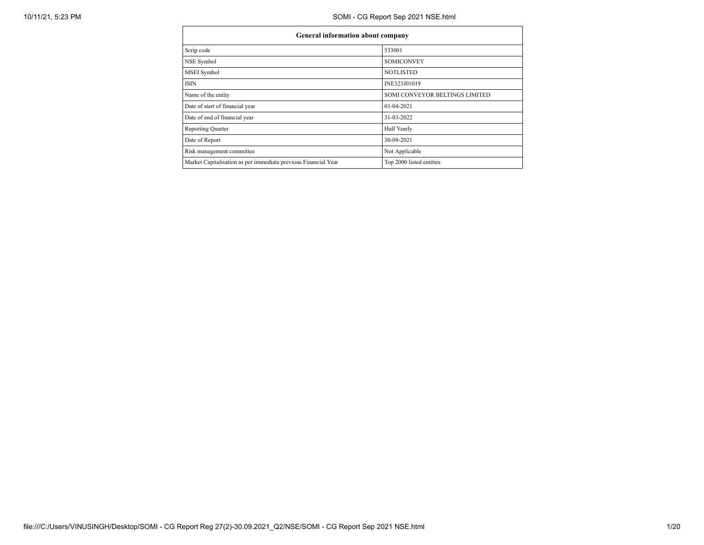| <b>General information about company</b>                       |                                |  |  |  |  |  |
|----------------------------------------------------------------|--------------------------------|--|--|--|--|--|
| Scrip code                                                     | 533001                         |  |  |  |  |  |
| NSE Symbol                                                     | <b>SOMICONVEY</b>              |  |  |  |  |  |
| MSEI Symbol                                                    | <b>NOTLISTED</b>               |  |  |  |  |  |
| <b>ISIN</b>                                                    | INE323J01019                   |  |  |  |  |  |
| Name of the entity                                             | SOMI CONVEYOR BELTINGS LIMITED |  |  |  |  |  |
| Date of start of financial year                                | $01-04-2021$                   |  |  |  |  |  |
| Date of end of financial year                                  | 31-03-2022                     |  |  |  |  |  |
| <b>Reporting Quarter</b>                                       | Half Yearly                    |  |  |  |  |  |
| Date of Report                                                 | 30-09-2021                     |  |  |  |  |  |
| Risk management committee                                      | Not Applicable                 |  |  |  |  |  |
| Market Capitalisation as per immediate previous Financial Year | Top 2000 listed entities       |  |  |  |  |  |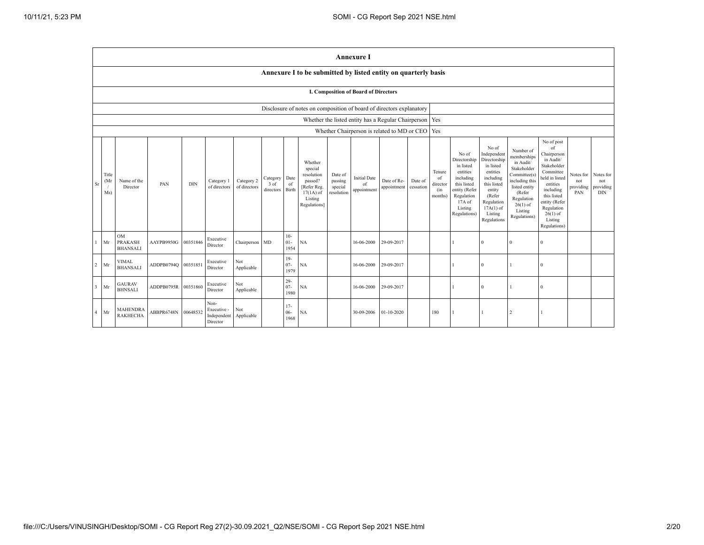|                |                                                                      |                                                |                     |            |                                                |                            |                               |                          |                                                                                                      |                                             | <b>Annexure I</b>                                         |                            |                      |                                            |                                                                                                                                                |                                                                                                                                                                      |                                                                                                                                                                          |                                                                                                                                                                                                            |                                      |                                             |
|----------------|----------------------------------------------------------------------|------------------------------------------------|---------------------|------------|------------------------------------------------|----------------------------|-------------------------------|--------------------------|------------------------------------------------------------------------------------------------------|---------------------------------------------|-----------------------------------------------------------|----------------------------|----------------------|--------------------------------------------|------------------------------------------------------------------------------------------------------------------------------------------------|----------------------------------------------------------------------------------------------------------------------------------------------------------------------|--------------------------------------------------------------------------------------------------------------------------------------------------------------------------|------------------------------------------------------------------------------------------------------------------------------------------------------------------------------------------------------------|--------------------------------------|---------------------------------------------|
|                |                                                                      |                                                |                     |            |                                                |                            |                               |                          | Annexure I to be submitted by listed entity on quarterly basis                                       |                                             |                                                           |                            |                      |                                            |                                                                                                                                                |                                                                                                                                                                      |                                                                                                                                                                          |                                                                                                                                                                                                            |                                      |                                             |
|                | <b>I. Composition of Board of Directors</b>                          |                                                |                     |            |                                                |                            |                               |                          |                                                                                                      |                                             |                                                           |                            |                      |                                            |                                                                                                                                                |                                                                                                                                                                      |                                                                                                                                                                          |                                                                                                                                                                                                            |                                      |                                             |
|                | Disclosure of notes on composition of board of directors explanatory |                                                |                     |            |                                                |                            |                               |                          |                                                                                                      |                                             |                                                           |                            |                      |                                            |                                                                                                                                                |                                                                                                                                                                      |                                                                                                                                                                          |                                                                                                                                                                                                            |                                      |                                             |
|                |                                                                      |                                                |                     |            |                                                |                            |                               |                          |                                                                                                      |                                             | Whether the listed entity has a Regular Chairperson   Yes |                            |                      |                                            |                                                                                                                                                |                                                                                                                                                                      |                                                                                                                                                                          |                                                                                                                                                                                                            |                                      |                                             |
|                |                                                                      |                                                |                     |            |                                                |                            |                               |                          |                                                                                                      |                                             | Whether Chairperson is related to MD or CEO   Yes         |                            |                      |                                            |                                                                                                                                                |                                                                                                                                                                      |                                                                                                                                                                          |                                                                                                                                                                                                            |                                      |                                             |
| Sr             | Title<br>(Mr)<br>$\sqrt{ }$<br>Ms)                                   | Name of the<br>Director                        | PAN                 | <b>DIN</b> | Category 1<br>of directors                     | Category 2<br>of directors | Category<br>3 of<br>directors | Date<br>of<br>Birth      | Whether<br>special<br>resolution<br>passed?<br>[Refer Reg.<br>$17(1A)$ of<br>Listing<br>Regulations] | Date of<br>passing<br>special<br>resolution | <b>Initial Date</b><br>of<br>appointment                  | Date of Re-<br>appointment | Date of<br>cessation | Tenure<br>of<br>director<br>(in<br>months) | No of<br>Directorship<br>in listed<br>entities<br>including<br>this listed<br>entity (Refer<br>Regulation<br>17A of<br>Listing<br>Regulations) | No of<br>Independent<br>Directorship<br>in listed<br>entities<br>including<br>this listed<br>entity<br>(Refer<br>Regulation<br>$17A(1)$ of<br>Listing<br>Regulations | Number of<br>memberships<br>in Audit/<br>Stakeholder<br>Committee(s)<br>including this<br>listed entity<br>(Refer<br>Regulation<br>$26(1)$ of<br>Listing<br>Regulations) | No of post<br>of<br>Chairperson<br>in Audit/<br>Stakeholder<br>Committee<br>held in listed<br>entities<br>including<br>this listed<br>entity (Refer<br>Regulation<br>$26(1)$ of<br>Listing<br>Regulations) | Notes for<br>not<br>providing<br>PAN | Notes for<br>not<br>providing<br><b>DIN</b> |
| $\mathbf{1}$   | Mr                                                                   | <b>OM</b><br><b>PRAKASH</b><br><b>BHANSALI</b> | AAYPB9950G          | 00351846   | Executive<br>Director                          | Chairperson MD             |                               | $10-$<br>$01 -$<br>1954  | NA                                                                                                   |                                             | 16-06-2000                                                | 29-09-2017                 |                      |                                            |                                                                                                                                                | $\theta$                                                                                                                                                             |                                                                                                                                                                          | $\sqrt{ }$                                                                                                                                                                                                 |                                      |                                             |
| $\sqrt{2}$     | Mr                                                                   | VIMAL<br><b>BHANSALI</b>                       | ADDPB0794Q 00351851 |            | Executive<br>Director                          | Not<br>Applicable          |                               | $19-$<br>$07 -$<br>1979  | NA                                                                                                   |                                             | 16-06-2000                                                | 29-09-2017                 |                      |                                            |                                                                                                                                                | $\theta$                                                                                                                                                             |                                                                                                                                                                          | $\Omega$                                                                                                                                                                                                   |                                      |                                             |
| $\overline{3}$ | Mr                                                                   | <b>GAURAV</b><br><b>BHNSALI</b>                | ADDPB0795R          | 00351860   | Executive<br>Director                          | Not<br>Applicable          |                               | $29 -$<br>$07 -$<br>1980 | NA                                                                                                   |                                             | 16-06-2000                                                | 29-09-2017                 |                      |                                            |                                                                                                                                                | $\theta$                                                                                                                                                             |                                                                                                                                                                          | $\Omega$                                                                                                                                                                                                   |                                      |                                             |
| $\overline{4}$ | Mr                                                                   | <b>MAHENDRA</b><br><b>RAKHECHA</b>             | ABBPR6748N          | 00648532   | Non-<br>Executive -<br>Independent<br>Director | Not<br>Applicable          |                               | $17-$<br>$06 -$<br>1968  | <b>NA</b>                                                                                            |                                             | 30-09-2006                                                | $01 - 10 - 2020$           |                      | 180                                        |                                                                                                                                                |                                                                                                                                                                      | $\mathcal{D}$                                                                                                                                                            |                                                                                                                                                                                                            |                                      |                                             |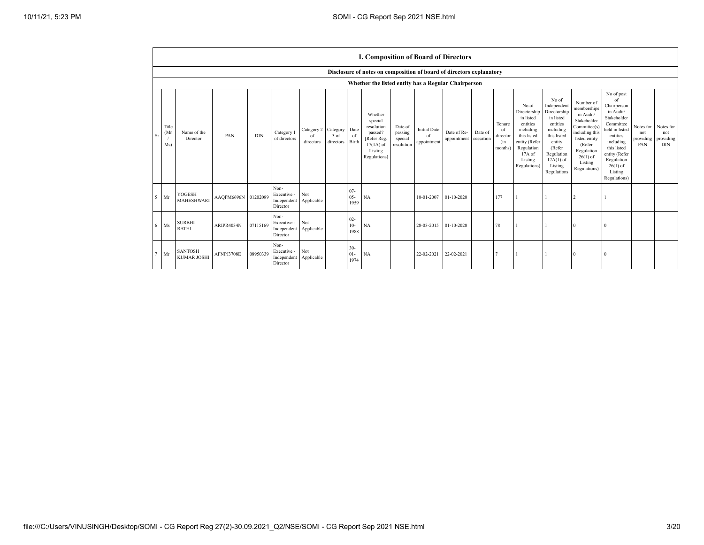|                                                     | I. Composition of Board of Directors |                     |            |                                                |                               |                               |                          |                                                                                                     |                                             |                                          |                            |                      |                                            |                                                                                                                                                |                                                                                                                                                                      |                                                                                                                                                                          |                                                                                                                                                                                                            |                                      |                                             |
|-----------------------------------------------------|--------------------------------------|---------------------|------------|------------------------------------------------|-------------------------------|-------------------------------|--------------------------|-----------------------------------------------------------------------------------------------------|---------------------------------------------|------------------------------------------|----------------------------|----------------------|--------------------------------------------|------------------------------------------------------------------------------------------------------------------------------------------------|----------------------------------------------------------------------------------------------------------------------------------------------------------------------|--------------------------------------------------------------------------------------------------------------------------------------------------------------------------|------------------------------------------------------------------------------------------------------------------------------------------------------------------------------------------------------------|--------------------------------------|---------------------------------------------|
|                                                     |                                      |                     |            |                                                |                               |                               |                          | Disclosure of notes on composition of board of directors explanatory                                |                                             |                                          |                            |                      |                                            |                                                                                                                                                |                                                                                                                                                                      |                                                                                                                                                                          |                                                                                                                                                                                                            |                                      |                                             |
| Whether the listed entity has a Regular Chairperson |                                      |                     |            |                                                |                               |                               |                          |                                                                                                     |                                             |                                          |                            |                      |                                            |                                                                                                                                                |                                                                                                                                                                      |                                                                                                                                                                          |                                                                                                                                                                                                            |                                      |                                             |
| Title<br>(Mr<br>Sr<br>Ms)                           | Name of the<br>Director              | PAN                 | <b>DIN</b> | Category 1<br>of directors                     | Category 2<br>of<br>directors | Category<br>3 of<br>directors | Date<br>of<br>Birth      | Whether<br>special<br>resolution<br>passed?<br>Refer Reg.<br>$17(1A)$ of<br>Listing<br>Regulations] | Date of<br>passing<br>special<br>resolution | <b>Initial Date</b><br>of<br>appointment | Date of Re-<br>appointment | Date of<br>cessation | Tenure<br>of<br>director<br>(in<br>months) | No of<br>Directorship<br>in listed<br>entities<br>including<br>this listed<br>entity (Refer<br>Regulation<br>17A of<br>Listing<br>Regulations) | No of<br>Independent<br>Directorship<br>in listed<br>entities<br>including<br>this listed<br>entity<br>(Refer<br>Regulation<br>$17A(1)$ of<br>Listing<br>Regulations | Number of<br>memberships<br>in Audit/<br>Stakeholder<br>Committee(s)<br>including this<br>listed entity<br>(Refer<br>Regulation<br>$26(1)$ of<br>Listing<br>Regulations) | No of post<br>of<br>Chairperson<br>in Audit/<br>Stakeholder<br>Committee<br>held in listed<br>entities<br>including<br>this listed<br>entity (Refer<br>Regulation<br>$26(1)$ of<br>Listing<br>Regulations) | Notes for<br>not<br>providing<br>PAN | Notes for<br>not<br>providing<br><b>DIN</b> |
| $5$ Mr                                              | YOGESH<br><b>MAHESHWARI</b>          | AAQPM6696N 01202089 |            | Non-<br>Executive -<br>Independent<br>Director | Not<br>Applicable             |                               | $07 -$<br>$05 -$<br>1959 | NA                                                                                                  |                                             | 10-01-2007                               | 01-10-2020                 |                      | 177                                        |                                                                                                                                                |                                                                                                                                                                      |                                                                                                                                                                          |                                                                                                                                                                                                            |                                      |                                             |
| Ms<br>6                                             | <b>SURBHI</b><br><b>RATHI</b>        | ARIPR4034N          | 07115169   | Non-<br>Executive -<br>Independent<br>Director | Not<br>Applicable             |                               | $02 -$<br>$10-$<br>1988  | NA                                                                                                  |                                             | 28-03-2015                               | 01-10-2020                 |                      | 78                                         |                                                                                                                                                |                                                                                                                                                                      | $\Omega$                                                                                                                                                                 | $\Omega$                                                                                                                                                                                                   |                                      |                                             |
| Mr                                                  | <b>SANTOSH</b><br><b>KUMAR JOSHI</b> | AFNPJ3708E          | 08950339   | Non-<br>Executive -<br>Independent<br>Director | Not<br>Applicable             |                               | $30-$<br>$01-$<br>1974   | NA                                                                                                  |                                             | 22-02-2021                               | 22-02-2021                 |                      |                                            |                                                                                                                                                |                                                                                                                                                                      |                                                                                                                                                                          |                                                                                                                                                                                                            |                                      |                                             |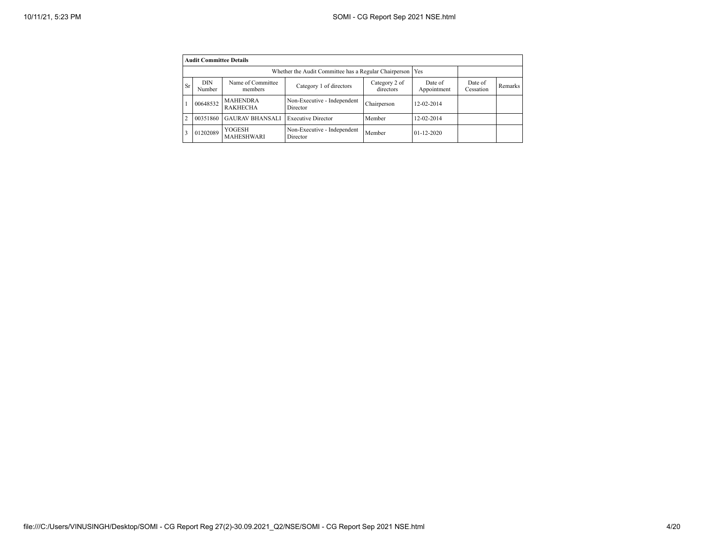|                | <b>Audit Committee Details</b> |                                    |                                         |                            |                        |                      |         |  |  |  |
|----------------|--------------------------------|------------------------------------|-----------------------------------------|----------------------------|------------------------|----------------------|---------|--|--|--|
|                |                                |                                    |                                         |                            |                        |                      |         |  |  |  |
| <b>Sr</b>      | <b>DIN</b><br>Number           | Name of Committee<br>members       | Category 1 of directors                 | Category 2 of<br>directors | Date of<br>Appointment | Date of<br>Cessation | Remarks |  |  |  |
|                | 00648532                       | <b>MAHENDRA</b><br><b>RAKHECHA</b> | Non-Executive - Independent<br>Director | Chairperson                | 12-02-2014             |                      |         |  |  |  |
| $\overline{2}$ | 00351860                       | <b>GAURAV BHANSALI</b>             | <b>Executive Director</b>               | Member                     | 12-02-2014             |                      |         |  |  |  |
| 3              | 01202089                       | YOGESH<br><b>MAHESHWARI</b>        | Non-Executive - Independent<br>Director | Member                     | $01 - 12 - 2020$       |                      |         |  |  |  |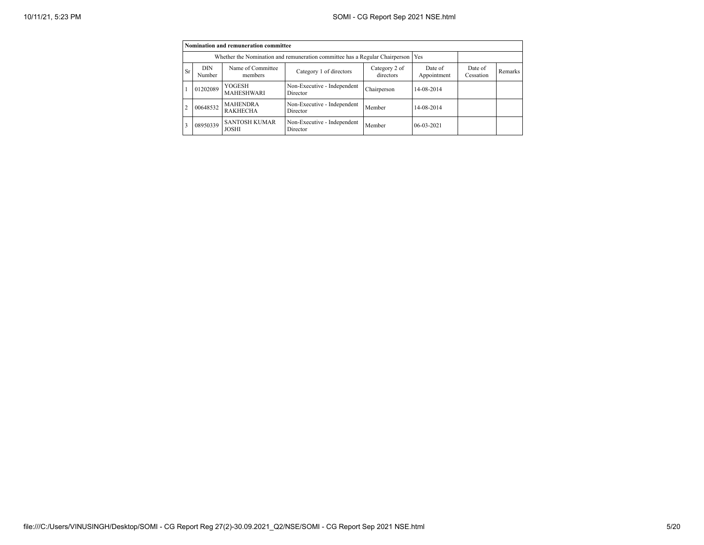|                |                                                                             | Nomination and remuneration committee |                                         |                      |              |  |  |
|----------------|-----------------------------------------------------------------------------|---------------------------------------|-----------------------------------------|----------------------|--------------|--|--|
|                | Whether the Nomination and remuneration committee has a Regular Chairperson |                                       |                                         |                      |              |  |  |
| <b>Sr</b>      | <b>DIN</b><br>Number                                                        | Name of Committee<br>members          | Date of<br>Appointment                  | Date of<br>Cessation | Remarks      |  |  |
|                | 01202089                                                                    | YOGESH<br><b>MAHESHWARI</b>           | Non-Executive - Independent<br>Director | Chairperson          | 14-08-2014   |  |  |
| $\overline{2}$ | 00648532                                                                    | <b>MAHENDRA</b><br><b>RAKHECHA</b>    | Non-Executive - Independent<br>Director | Member               | 14-08-2014   |  |  |
| 3              | 08950339                                                                    | <b>SANTOSH KUMAR</b><br><b>JOSHI</b>  | Non-Executive - Independent<br>Director | Member               | $06-03-2021$ |  |  |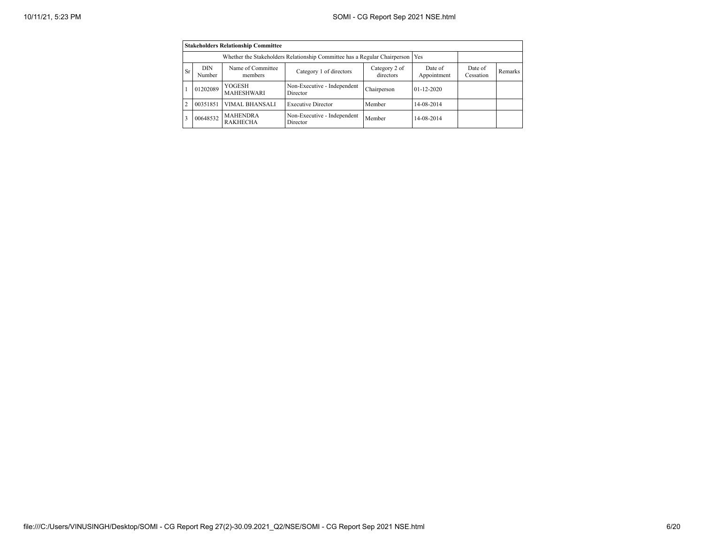|                | <b>Stakeholders Relationship Committee</b>                                                                                              |                                    |                                         |             |                  |  |         |  |  |  |
|----------------|-----------------------------------------------------------------------------------------------------------------------------------------|------------------------------------|-----------------------------------------|-------------|------------------|--|---------|--|--|--|
|                |                                                                                                                                         |                                    |                                         |             |                  |  |         |  |  |  |
| <b>Sr</b>      | Name of Committee<br>Category 2 of<br><b>DIN</b><br>Date of<br>Category 1 of directors<br>directors<br>Appointment<br>Number<br>members |                                    |                                         |             |                  |  | Remarks |  |  |  |
|                | 01202089                                                                                                                                | YOGESH<br>MAHESHWARI               | Non-Executive - Independent<br>Director | Chairperson | $01 - 12 - 2020$ |  |         |  |  |  |
| $\mathfrak{D}$ | 00351851                                                                                                                                | VIMAL BHANSALI                     | <b>Executive Director</b>               | Member      | 14-08-2014       |  |         |  |  |  |
| $\mathcal{R}$  | 00648532                                                                                                                                | <b>MAHENDRA</b><br><b>RAKHECHA</b> | Non-Executive - Independent<br>Director | Member      | 14-08-2014       |  |         |  |  |  |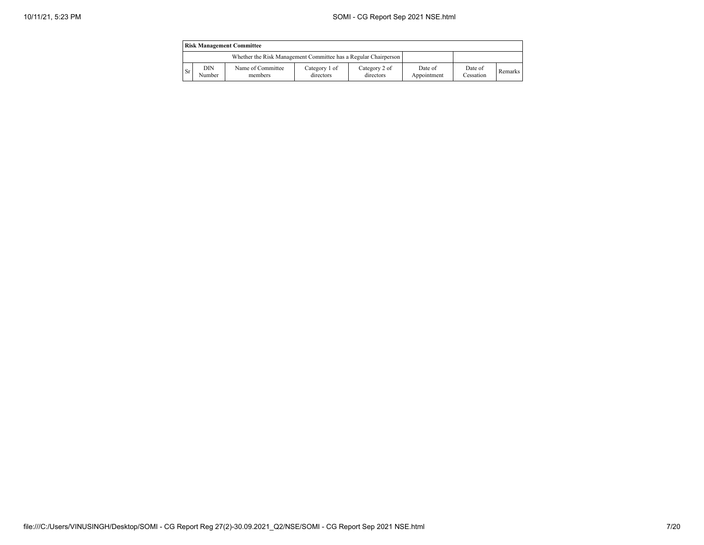|      | <b>Risk Management Committee</b> |                                                                 |                            |                            |                        |                      |         |  |  |
|------|----------------------------------|-----------------------------------------------------------------|----------------------------|----------------------------|------------------------|----------------------|---------|--|--|
|      |                                  | Whether the Risk Management Committee has a Regular Chairperson |                            |                            |                        |                      |         |  |  |
| - Sr | DIN<br>Number                    | Name of Committee<br>members                                    | Category 1 of<br>directors | Category 2 of<br>directors | Date of<br>Appointment | Date of<br>Cessation | Remarks |  |  |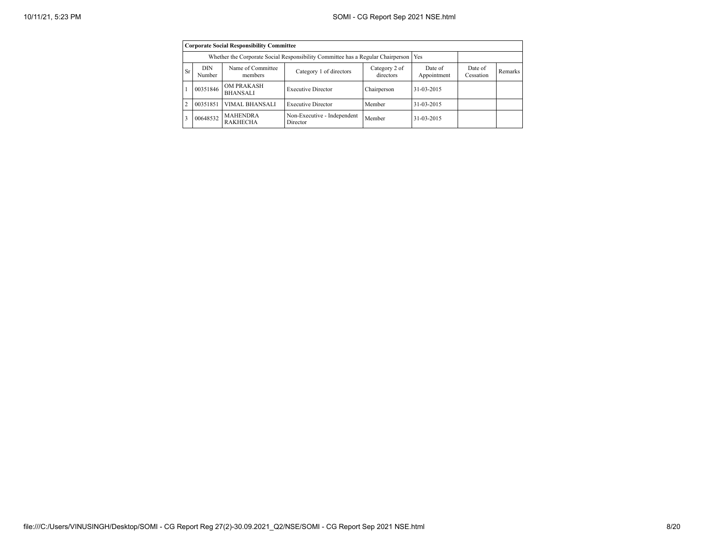|                | <b>Corporate Social Responsibility Committee</b>                                                       |                                                                                       |                                         |             |            |                      |         |  |  |  |
|----------------|--------------------------------------------------------------------------------------------------------|---------------------------------------------------------------------------------------|-----------------------------------------|-------------|------------|----------------------|---------|--|--|--|
|                |                                                                                                        | Whether the Corporate Social Responsibility Committee has a Regular Chairperson   Yes |                                         |             |            |                      |         |  |  |  |
| <b>Sr</b>      | Name of Committee<br>DIN<br>Category 2 of<br>Category 1 of directors<br>directors<br>Number<br>members |                                                                                       |                                         |             |            | Date of<br>Cessation | Remarks |  |  |  |
|                | 00351846                                                                                               | <b>OM PRAKASH</b><br><b>BHANSALI</b>                                                  | <b>Executive Director</b>               | Chairperson | 31-03-2015 |                      |         |  |  |  |
| $\overline{2}$ | 00351851                                                                                               | <b>VIMAL BHANSALI</b>                                                                 | <b>Executive Director</b>               | Member      | 31-03-2015 |                      |         |  |  |  |
| 3              | 00648532                                                                                               | <b>MAHENDRA</b><br><b>RAKHECHA</b>                                                    | Non-Executive - Independent<br>Director | Member      | 31-03-2015 |                      |         |  |  |  |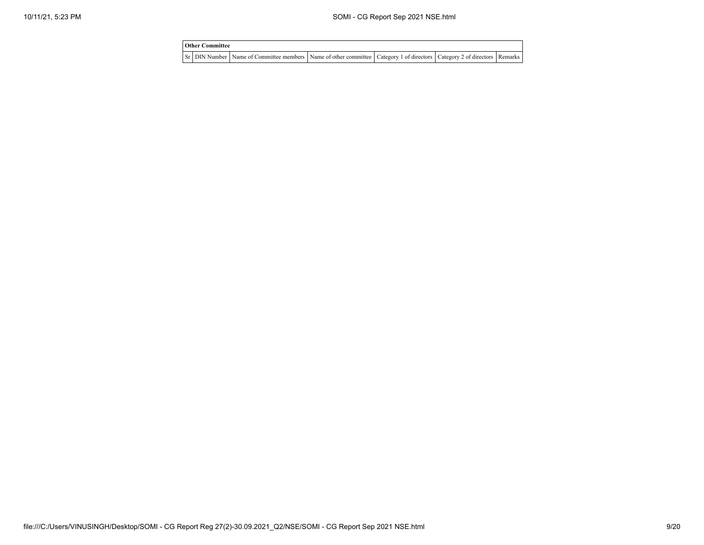| <b>Other Committee</b> |                                                                                                                                     |  |  |
|------------------------|-------------------------------------------------------------------------------------------------------------------------------------|--|--|
|                        | Sr   DIN Number   Name of Committee members   Name of other committee   Category 1 of directors   Category 2 of directors   Remarks |  |  |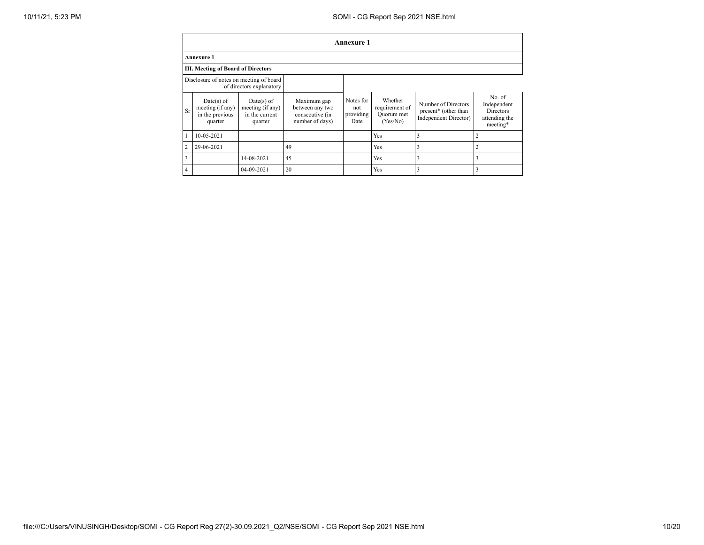|                | <b>Annexure 1</b>                                              |                                                               |                                                                      |                                       |                                                     |                                                                      |                                                                       |  |  |  |
|----------------|----------------------------------------------------------------|---------------------------------------------------------------|----------------------------------------------------------------------|---------------------------------------|-----------------------------------------------------|----------------------------------------------------------------------|-----------------------------------------------------------------------|--|--|--|
|                | <b>Annexure 1</b>                                              |                                                               |                                                                      |                                       |                                                     |                                                                      |                                                                       |  |  |  |
|                | <b>III. Meeting of Board of Directors</b>                      |                                                               |                                                                      |                                       |                                                     |                                                                      |                                                                       |  |  |  |
|                | Disclosure of notes on meeting of board                        | of directors explanatory                                      |                                                                      |                                       |                                                     |                                                                      |                                                                       |  |  |  |
| Sr             | $Date(s)$ of<br>meeting (if any)<br>in the previous<br>quarter | $Date(s)$ of<br>meeting (if any)<br>in the current<br>quarter | Maximum gap<br>between any two<br>consecutive (in<br>number of days) | Notes for<br>not<br>providing<br>Date | Whether<br>requirement of<br>Ouorum met<br>(Yes/No) | Number of Directors<br>present* (other than<br>Independent Director) | No of<br>Independent<br><b>Directors</b><br>attending the<br>meeting* |  |  |  |
|                | 10-05-2021                                                     |                                                               |                                                                      |                                       | Yes                                                 |                                                                      | $\overline{2}$                                                        |  |  |  |
| $\overline{2}$ | 29-06-2021                                                     |                                                               | 49                                                                   |                                       | Yes                                                 |                                                                      | $\overline{2}$                                                        |  |  |  |
| 3              |                                                                | 14-08-2021                                                    | 45                                                                   |                                       | Yes                                                 |                                                                      | 3                                                                     |  |  |  |
| 4              |                                                                | 04-09-2021                                                    | 20                                                                   |                                       | Yes                                                 |                                                                      | 3                                                                     |  |  |  |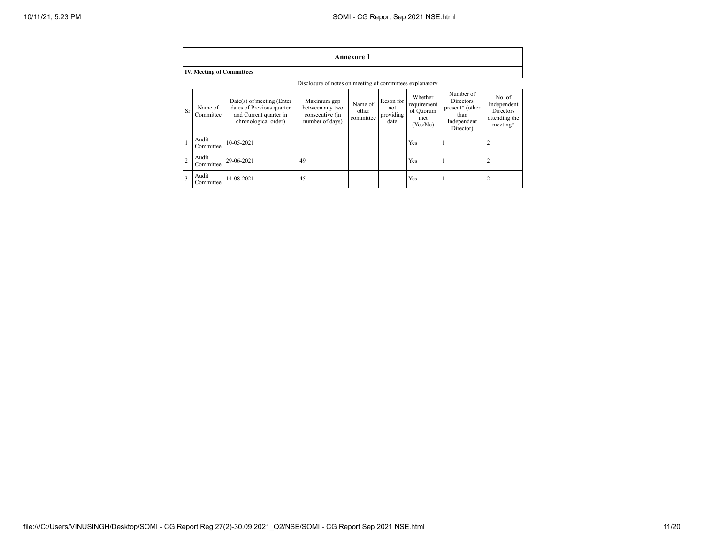|                | Annexure 1                       |                                                                                                            |                                                                      |                               |                                       |                                                        |                                                                               |                                                                 |  |
|----------------|----------------------------------|------------------------------------------------------------------------------------------------------------|----------------------------------------------------------------------|-------------------------------|---------------------------------------|--------------------------------------------------------|-------------------------------------------------------------------------------|-----------------------------------------------------------------|--|
|                | <b>IV. Meeting of Committees</b> |                                                                                                            |                                                                      |                               |                                       |                                                        |                                                                               |                                                                 |  |
|                |                                  |                                                                                                            |                                                                      |                               |                                       |                                                        |                                                                               |                                                                 |  |
| Sr             | Name of<br>Committee             | $Date(s)$ of meeting (Enter<br>dates of Previous quarter<br>and Current quarter in<br>chronological order) | Maximum gap<br>between any two<br>consecutive (in<br>number of days) | Name of<br>other<br>committee | Reson for<br>not<br>providing<br>date | Whether<br>requirement<br>of Quorum<br>met<br>(Yes/No) | Number of<br>Directors<br>present* (other<br>than<br>Independent<br>Director) | No. of<br>Independent<br>Directors<br>attending the<br>meeting* |  |
|                | Audit<br>Committee               | $10 - 05 - 2021$                                                                                           |                                                                      |                               |                                       | Yes                                                    |                                                                               | $\overline{2}$                                                  |  |
| $\overline{2}$ | Audit<br>Committee               | 29-06-2021                                                                                                 | 49                                                                   |                               |                                       | Yes                                                    |                                                                               | 2                                                               |  |
| 3              | Audit<br>Committee               | 14-08-2021                                                                                                 | 45                                                                   |                               |                                       | Yes                                                    |                                                                               | 2                                                               |  |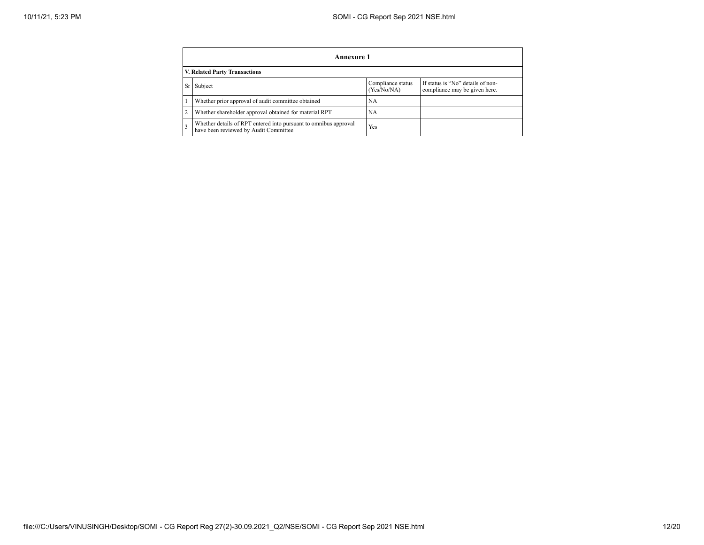|   | Annexure 1                                                                                                        |     |  |  |  |  |  |  |  |
|---|-------------------------------------------------------------------------------------------------------------------|-----|--|--|--|--|--|--|--|
|   | V. Related Party Transactions                                                                                     |     |  |  |  |  |  |  |  |
|   | If status is "No" details of non-<br>Compliance status<br>Subject<br>(Yes/No/NA)<br>compliance may be given here. |     |  |  |  |  |  |  |  |
|   | Whether prior approval of audit committee obtained                                                                | NA  |  |  |  |  |  |  |  |
| 2 | Whether shareholder approval obtained for material RPT                                                            | NA  |  |  |  |  |  |  |  |
|   | Whether details of RPT entered into pursuant to omnibus approval<br>have been reviewed by Audit Committee         | Yes |  |  |  |  |  |  |  |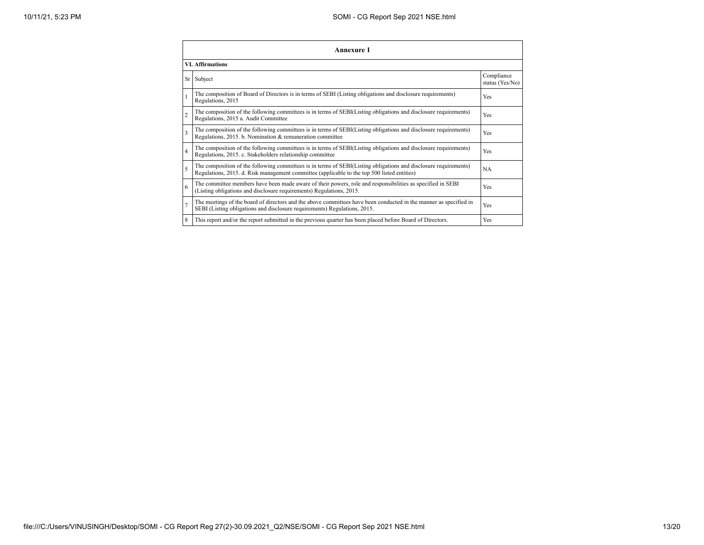|                | Annexure 1                                                                                                                                                                                                      |                               |  |  |
|----------------|-----------------------------------------------------------------------------------------------------------------------------------------------------------------------------------------------------------------|-------------------------------|--|--|
|                | <b>VI. Affirmations</b>                                                                                                                                                                                         |                               |  |  |
|                | Sr Subject                                                                                                                                                                                                      | Compliance<br>status (Yes/No) |  |  |
|                | The composition of Board of Directors is in terms of SEBI (Listing obligations and disclosure requirements)<br>Regulations, 2015                                                                                | Yes                           |  |  |
| $\overline{2}$ | The composition of the following committees is in terms of SEBI(Listing obligations and disclosure requirements)<br>Regulations, 2015 a. Audit Committee                                                        | Yes                           |  |  |
| 3              | The composition of the following committees is in terms of SEBI(Listing obligations and disclosure requirements)<br>Regulations, 2015. b. Nomination & remuneration committee                                   | Yes                           |  |  |
| $\overline{4}$ | The composition of the following committees is in terms of SEBI(Listing obligations and disclosure requirements)<br>Regulations, 2015. c. Stakeholders relationship committee                                   | Yes                           |  |  |
| 5              | The composition of the following committees is in terms of SEBI(Listing obligations and disclosure requirements)<br>Regulations, 2015. d. Risk management committee (applicable to the top 500 listed entities) | <b>NA</b>                     |  |  |
| 6              | The committee members have been made aware of their powers, role and responsibilities as specified in SEBI<br>(Listing obligations and disclosure requirements) Regulations, 2015.                              | Yes                           |  |  |
|                | The meetings of the board of directors and the above committees have been conducted in the manner as specified in<br>SEBI (Listing obligations and disclosure requirements) Regulations, 2015.                  | Yes                           |  |  |
| 8              | This report and/or the report submitted in the previous quarter has been placed before Board of Directors.                                                                                                      | Yes                           |  |  |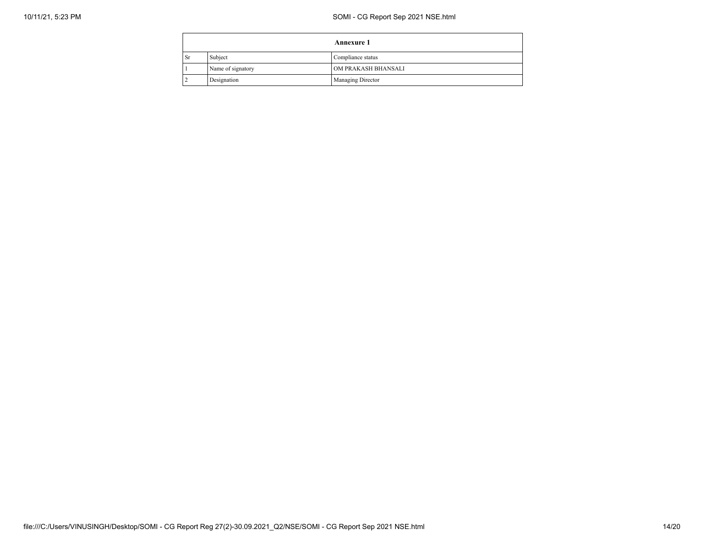| <b>Annexure 1</b> |                   |                     |
|-------------------|-------------------|---------------------|
| <sub>Sr</sub>     | Subject           | Compliance status   |
|                   | Name of signatory | OM PRAKASH BHANSALI |
|                   | Designation       | Managing Director   |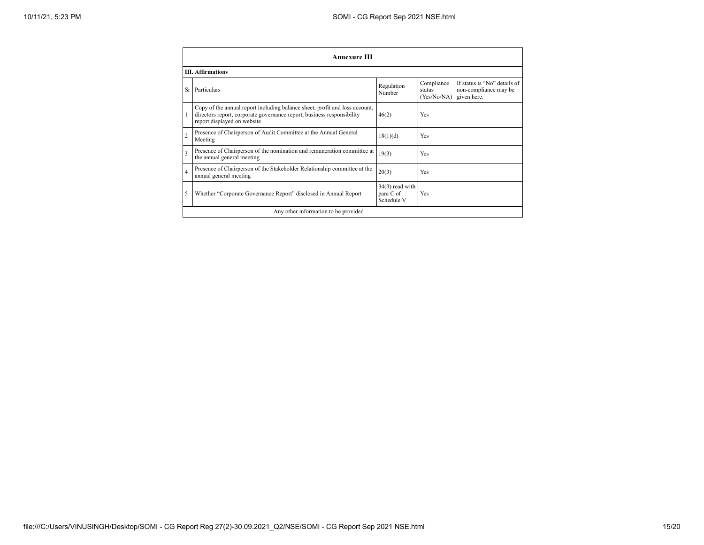|                | <b>Annexure III</b>                                                                                                                                                                  |                                              |                                     |                                                                      |  |
|----------------|--------------------------------------------------------------------------------------------------------------------------------------------------------------------------------------|----------------------------------------------|-------------------------------------|----------------------------------------------------------------------|--|
|                | <b>III.</b> Affirmations                                                                                                                                                             |                                              |                                     |                                                                      |  |
|                | Sr Particulars                                                                                                                                                                       | Regulation<br>Number                         | Compliance<br>status<br>(Yes/No/NA) | If status is "No" details of<br>non-compliance may be<br>given here. |  |
|                | Copy of the annual report including balance sheet, profit and loss account,<br>directors report, corporate governance report, business responsibility<br>report displayed on website | 46(2)                                        | Yes                                 |                                                                      |  |
| $\overline{c}$ | Presence of Chairperson of Audit Committee at the Annual General<br>Meeting                                                                                                          | 18(1)(d)                                     | Yes                                 |                                                                      |  |
| 3              | Presence of Chairperson of the nomination and remuneration committee at<br>the annual general meeting                                                                                | 19(3)                                        | Yes                                 |                                                                      |  |
| 4              | Presence of Chairperson of the Stakeholder Relationship committee at the<br>annual general meeting                                                                                   | 20(3)                                        | Yes                                 |                                                                      |  |
| 5              | Whether "Corporate Governance Report" disclosed in Annual Report                                                                                                                     | $34(3)$ read with<br>para C of<br>Schedule V | Yes                                 |                                                                      |  |
|                | Any other information to be provided                                                                                                                                                 |                                              |                                     |                                                                      |  |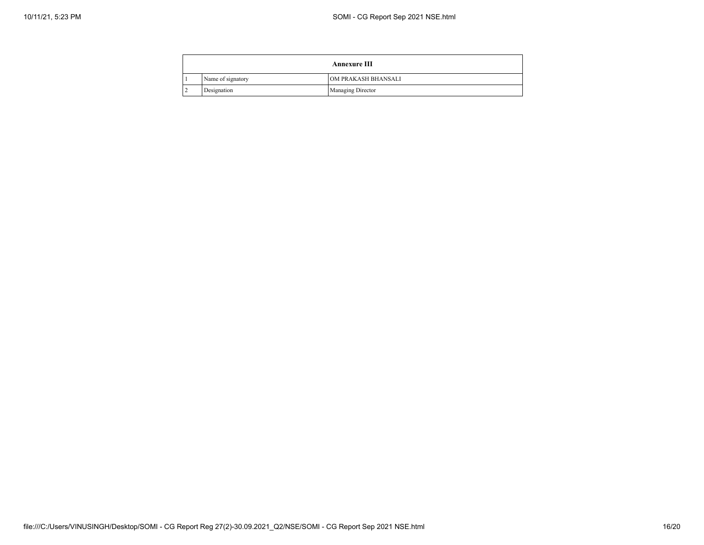| <b>Annexure III</b> |                          |  |
|---------------------|--------------------------|--|
| Name of signatory   | OM PRAKASH BHANSALI      |  |
| Designation         | <b>Managing Director</b> |  |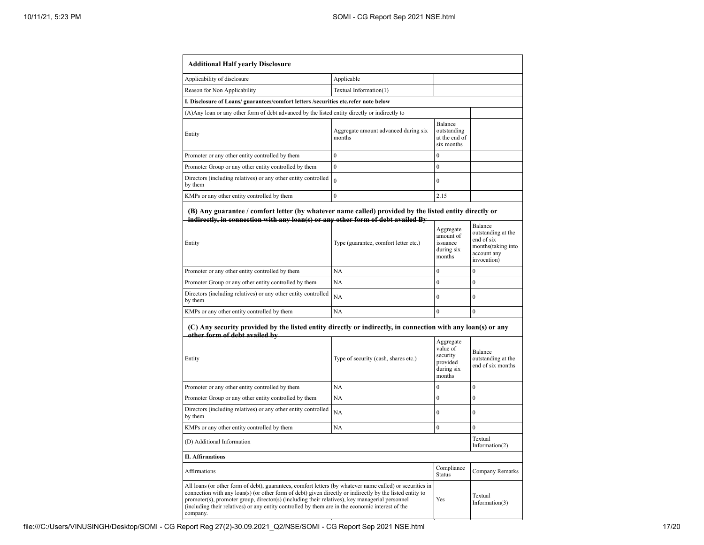| <b>Additional Half yearly Disclosure</b>                                                                                                                                                                                                                                                                                                                                                                                                |                                                |                                                                       |                                                                                                 |
|-----------------------------------------------------------------------------------------------------------------------------------------------------------------------------------------------------------------------------------------------------------------------------------------------------------------------------------------------------------------------------------------------------------------------------------------|------------------------------------------------|-----------------------------------------------------------------------|-------------------------------------------------------------------------------------------------|
| Applicability of disclosure                                                                                                                                                                                                                                                                                                                                                                                                             | Applicable                                     |                                                                       |                                                                                                 |
| Reason for Non Applicability                                                                                                                                                                                                                                                                                                                                                                                                            | Textual Information(1)                         |                                                                       |                                                                                                 |
| I. Disclosure of Loans/ guarantees/comfort letters /securities etc.refer note below                                                                                                                                                                                                                                                                                                                                                     |                                                |                                                                       |                                                                                                 |
| (A) Any loan or any other form of debt advanced by the listed entity directly or indirectly to                                                                                                                                                                                                                                                                                                                                          |                                                |                                                                       |                                                                                                 |
| Entity                                                                                                                                                                                                                                                                                                                                                                                                                                  | Aggregate amount advanced during six<br>months | Balance<br>outstanding<br>at the end of<br>six months                 |                                                                                                 |
| Promoter or any other entity controlled by them                                                                                                                                                                                                                                                                                                                                                                                         | $\theta$                                       | $\theta$                                                              |                                                                                                 |
| Promoter Group or any other entity controlled by them                                                                                                                                                                                                                                                                                                                                                                                   | $\theta$                                       | $\mathbf{0}$                                                          |                                                                                                 |
| Directors (including relatives) or any other entity controlled<br>by them                                                                                                                                                                                                                                                                                                                                                               | $\theta$                                       | $\mathbf{0}$                                                          |                                                                                                 |
| KMPs or any other entity controlled by them                                                                                                                                                                                                                                                                                                                                                                                             | $\theta$                                       | 2.15                                                                  |                                                                                                 |
| (B) Any guarantee / comfort letter (by whatever name called) provided by the listed entity directly or<br>indirectly, in connection with any loan(s) or any other form of debt availed By<br>Entity                                                                                                                                                                                                                                     | Type (guarantee, comfort letter etc.)          | Aggregate<br>amount of<br>issuance<br>during six<br>months            | Balance<br>outstanding at the<br>end of six<br>months(taking into<br>account any<br>invocation) |
| Promoter or any other entity controlled by them                                                                                                                                                                                                                                                                                                                                                                                         | NA                                             | $\mathbf{0}$                                                          | $\mathbf{0}$                                                                                    |
| Promoter Group or any other entity controlled by them                                                                                                                                                                                                                                                                                                                                                                                   | NA                                             | $\mathbf{0}$                                                          | $\mathbf{0}$                                                                                    |
| Directors (including relatives) or any other entity controlled<br>by them                                                                                                                                                                                                                                                                                                                                                               | NA                                             | $\mathbf{0}$                                                          | $\mathbf{0}$                                                                                    |
| KMPs or any other entity controlled by them                                                                                                                                                                                                                                                                                                                                                                                             | NA                                             | $\overline{0}$                                                        | $\mathbf{0}$                                                                                    |
| (C) Any security provided by the listed entity directly or indirectly, in connection with any loan(s) or any<br>other form of debt availed by<br>Entity                                                                                                                                                                                                                                                                                 | Type of security (cash, shares etc.)           | Aggregate<br>value of<br>security<br>provided<br>during six<br>months | Balance<br>outstanding at the<br>end of six months                                              |
| Promoter or any other entity controlled by them                                                                                                                                                                                                                                                                                                                                                                                         | NA                                             | $\mathbf{0}$                                                          | $\mathbf{0}$                                                                                    |
| Promoter Group or any other entity controlled by them                                                                                                                                                                                                                                                                                                                                                                                   | NA                                             | $\theta$                                                              | $\theta$                                                                                        |
| Directors (including relatives) or any other entity controlled<br>by them                                                                                                                                                                                                                                                                                                                                                               | NA                                             | $\mathbf{0}$                                                          | $\theta$                                                                                        |
| KMPs or any other entity controlled by them                                                                                                                                                                                                                                                                                                                                                                                             | NA                                             | $\boldsymbol{0}$                                                      | $\theta$                                                                                        |
| (D) Additional Information                                                                                                                                                                                                                                                                                                                                                                                                              |                                                |                                                                       | Textual<br>Information $(2)$                                                                    |
| II. Affirmations                                                                                                                                                                                                                                                                                                                                                                                                                        |                                                |                                                                       |                                                                                                 |
| <b>Affirmations</b>                                                                                                                                                                                                                                                                                                                                                                                                                     |                                                | Compliance<br><b>Status</b>                                           | Company Remarks                                                                                 |
| All loans (or other form of debt), guarantees, comfort letters (by whatever name called) or securities in<br>connection with any loan(s) (or other form of debt) given directly or indirectly by the listed entity to<br>promoter(s), promoter group, director(s) (including their relatives), key managerial personnel<br>(including their relatives) or any entity controlled by them are in the economic interest of the<br>company. |                                                | Yes                                                                   | Textual<br>Information $(3)$                                                                    |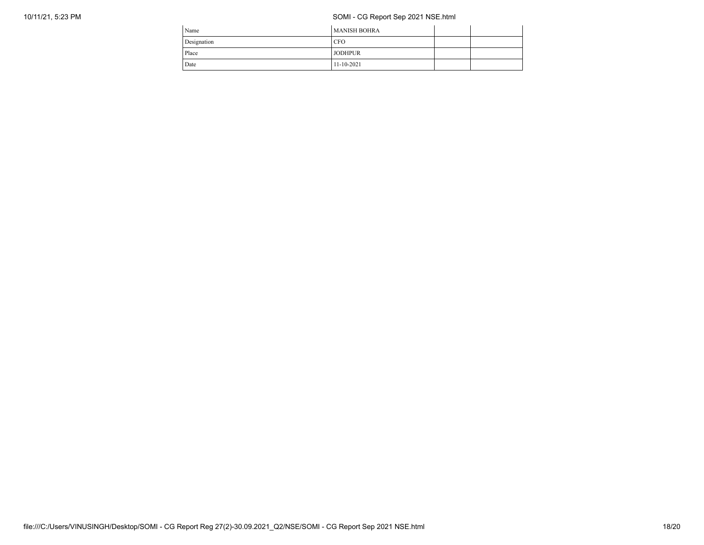## 10/11/21, 5:23 PM SOMI - CG Report Sep 2021 NSE.html

| Name        | <b>MANISH BOHRA</b> |  |
|-------------|---------------------|--|
| Designation | <b>CFO</b>          |  |
| Place       | <b>JODHPUR</b>      |  |
| Date        | $11 - 10 - 2021$    |  |